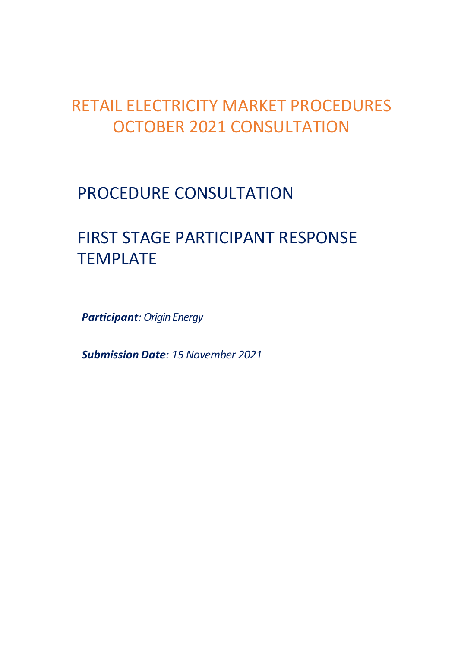## RETAIL ELECTRICITY MARKET PROCEDURES OCTOBER 2021 CONSULTATION

## PROCEDURE CONSULTATION

# FIRST STAGE PARTICIPANT RESPONSE TEMPLATE

*Participant: Origin Energy*

*Submission Date: 15 November 2021*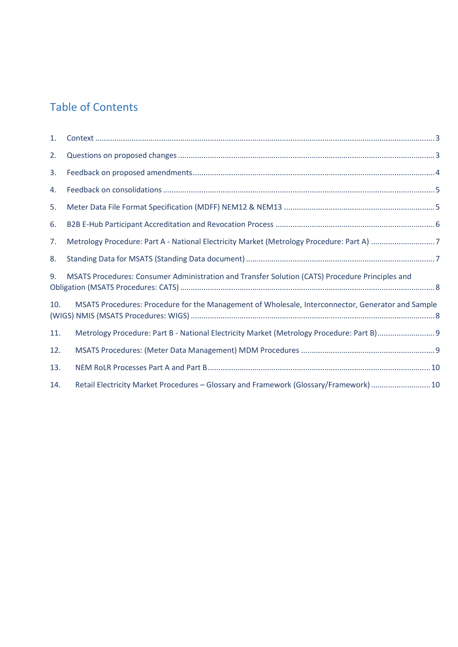## Table of Contents

| 1.  |                                                                                                   |  |
|-----|---------------------------------------------------------------------------------------------------|--|
| 2.  |                                                                                                   |  |
| 3.  |                                                                                                   |  |
| 4.  |                                                                                                   |  |
| 5.  |                                                                                                   |  |
| 6.  |                                                                                                   |  |
| 7.  |                                                                                                   |  |
| 8.  |                                                                                                   |  |
| 9.  | MSATS Procedures: Consumer Administration and Transfer Solution (CATS) Procedure Principles and   |  |
| 10. | MSATS Procedures: Procedure for the Management of Wholesale, Interconnector, Generator and Sample |  |
| 11. |                                                                                                   |  |
| 12. |                                                                                                   |  |
| 13. |                                                                                                   |  |
| 14. | Retail Electricity Market Procedures - Glossary and Framework (Glossary/Framework) 10             |  |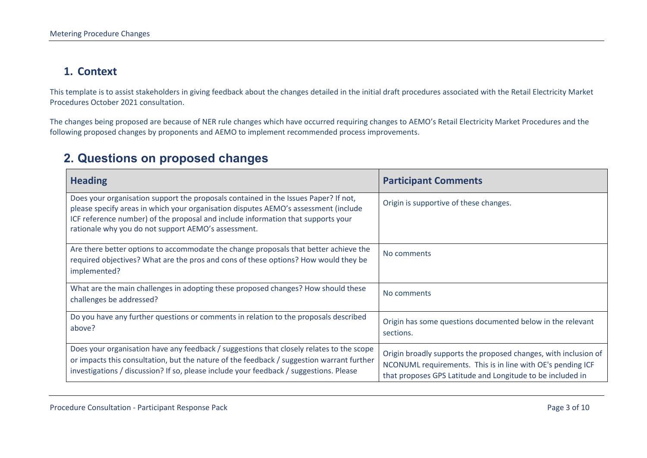#### **1. Context**

This template is to assist stakeholders in giving feedback about the changes detailed in the initial draft procedures associated with the Retail Electricity Market Procedures October 2021 consultation.

The changes being proposed are because of NER rule changes which have occurred requiring changes to AEMO's Retail Electricity Market Procedures and the following proposed changes by proponents and AEMO to implement recommended process improvements.

#### **2. Questions on proposed changes**

<span id="page-2-1"></span><span id="page-2-0"></span>

| <b>Heading</b>                                                                                                                                                                                                                                                                                                        | <b>Participant Comments</b>                                                                                                                                                                  |
|-----------------------------------------------------------------------------------------------------------------------------------------------------------------------------------------------------------------------------------------------------------------------------------------------------------------------|----------------------------------------------------------------------------------------------------------------------------------------------------------------------------------------------|
| Does your organisation support the proposals contained in the Issues Paper? If not,<br>please specify areas in which your organisation disputes AEMO's assessment (include<br>ICF reference number) of the proposal and include information that supports your<br>rationale why you do not support AEMO's assessment. | Origin is supportive of these changes.                                                                                                                                                       |
| Are there better options to accommodate the change proposals that better achieve the<br>required objectives? What are the pros and cons of these options? How would they be<br>implemented?                                                                                                                           | No comments                                                                                                                                                                                  |
| What are the main challenges in adopting these proposed changes? How should these<br>challenges be addressed?                                                                                                                                                                                                         | No comments                                                                                                                                                                                  |
| Do you have any further questions or comments in relation to the proposals described<br>above?                                                                                                                                                                                                                        | Origin has some questions documented below in the relevant<br>sections.                                                                                                                      |
| Does your organisation have any feedback / suggestions that closely relates to the scope<br>or impacts this consultation, but the nature of the feedback / suggestion warrant further<br>investigations / discussion? If so, please include your feedback / suggestions. Please                                       | Origin broadly supports the proposed changes, with inclusion of<br>NCONUML requirements. This is in line with OE's pending ICF<br>that proposes GPS Latitude and Longitude to be included in |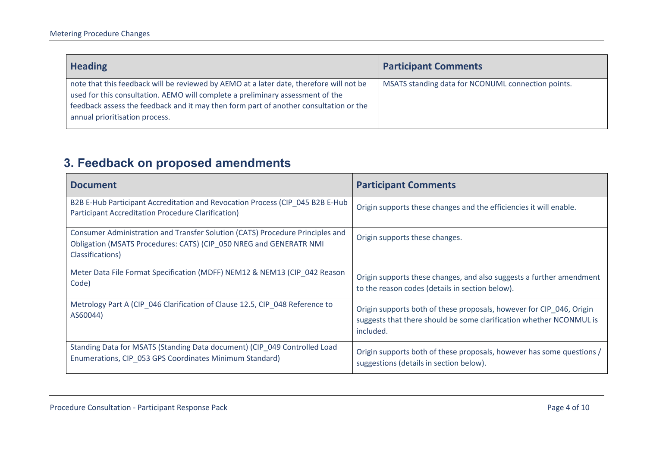| <b>Heading</b>                                                                                                                                                                                                                                                                                       | <b>Participant Comments</b>                        |
|------------------------------------------------------------------------------------------------------------------------------------------------------------------------------------------------------------------------------------------------------------------------------------------------------|----------------------------------------------------|
| note that this feedback will be reviewed by AEMO at a later date, therefore will not be<br>used for this consultation. AEMO will complete a preliminary assessment of the<br>feedback assess the feedback and it may then form part of another consultation or the<br>annual prioritisation process. | MSATS standing data for NCONUML connection points. |

## **3. Feedback on proposed amendments**

<span id="page-3-0"></span>

| <b>Document</b>                                                                                                                                                         | <b>Participant Comments</b>                                                                                                                              |
|-------------------------------------------------------------------------------------------------------------------------------------------------------------------------|----------------------------------------------------------------------------------------------------------------------------------------------------------|
| B2B E-Hub Participant Accreditation and Revocation Process (CIP_045 B2B E-Hub<br><b>Participant Accreditation Procedure Clarification)</b>                              | Origin supports these changes and the efficiencies it will enable.                                                                                       |
| Consumer Administration and Transfer Solution (CATS) Procedure Principles and<br>Obligation (MSATS Procedures: CATS) (CIP_050 NREG and GENERATR NMI<br>Classifications) | Origin supports these changes.                                                                                                                           |
| Meter Data File Format Specification (MDFF) NEM12 & NEM13 (CIP 042 Reason<br>Code)                                                                                      | Origin supports these changes, and also suggests a further amendment<br>to the reason codes (details in section below).                                  |
| Metrology Part A (CIP_046 Clarification of Clause 12.5, CIP_048 Reference to<br>AS60044)                                                                                | Origin supports both of these proposals, however for CIP_046, Origin<br>suggests that there should be some clarification whether NCONMUL is<br>included. |
| Standing Data for MSATS (Standing Data document) (CIP_049 Controlled Load<br>Enumerations, CIP_053 GPS Coordinates Minimum Standard)                                    | Origin supports both of these proposals, however has some questions /<br>suggestions (details in section below).                                         |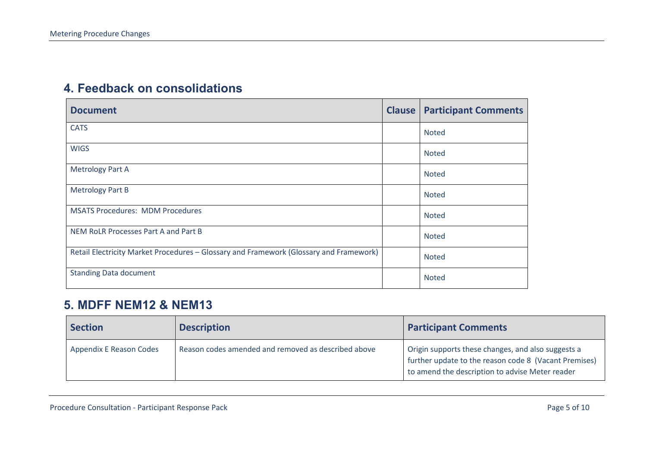#### **4. Feedback on consolidations**

| <b>Document</b>                                                                        | <b>Clause</b> | <b>Participant Comments</b> |
|----------------------------------------------------------------------------------------|---------------|-----------------------------|
| <b>CATS</b>                                                                            |               | <b>Noted</b>                |
| <b>WIGS</b>                                                                            |               | <b>Noted</b>                |
| <b>Metrology Part A</b>                                                                |               | <b>Noted</b>                |
| <b>Metrology Part B</b>                                                                |               | <b>Noted</b>                |
| <b>MSATS Procedures: MDM Procedures</b>                                                |               | <b>Noted</b>                |
| NEM RoLR Processes Part A and Part B                                                   |               | <b>Noted</b>                |
| Retail Electricity Market Procedures - Glossary and Framework (Glossary and Framework) |               | <b>Noted</b>                |
| <b>Standing Data document</b>                                                          |               | <b>Noted</b>                |

## <span id="page-4-0"></span>**5. MDFF NEM12 & NEM13**

<span id="page-4-1"></span>

| <b>Section</b>          | <b>Description</b>                                  | <b>Participant Comments</b>                                                                                                                                    |
|-------------------------|-----------------------------------------------------|----------------------------------------------------------------------------------------------------------------------------------------------------------------|
| Appendix E Reason Codes | Reason codes amended and removed as described above | Origin supports these changes, and also suggests a<br>further update to the reason code 8 (Vacant Premises)<br>to amend the description to advise Meter reader |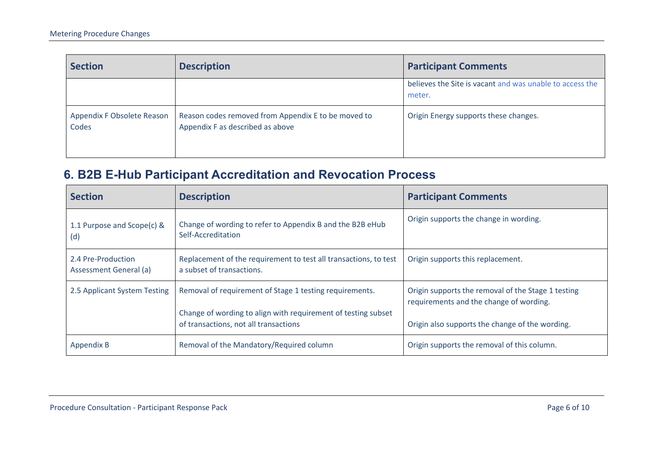| <b>Section</b>                      | <b>Description</b>                                                                      | <b>Participant Comments</b>                                        |
|-------------------------------------|-----------------------------------------------------------------------------------------|--------------------------------------------------------------------|
|                                     |                                                                                         | believes the Site is vacant and was unable to access the<br>meter. |
| Appendix F Obsolete Reason<br>Codes | Reason codes removed from Appendix E to be moved to<br>Appendix F as described as above | Origin Energy supports these changes.                              |

## **6. B2B E-Hub Participant Accreditation and Revocation Process**

<span id="page-5-0"></span>

| <b>Section</b>                               | <b>Description</b>                                                                                                                                                | <b>Participant Comments</b>                                                                                                                      |
|----------------------------------------------|-------------------------------------------------------------------------------------------------------------------------------------------------------------------|--------------------------------------------------------------------------------------------------------------------------------------------------|
| 1.1 Purpose and Scope(c) &<br>(d)            | Change of wording to refer to Appendix B and the B2B eHub<br>Self-Accreditation                                                                                   | Origin supports the change in wording.                                                                                                           |
| 2.4 Pre-Production<br>Assessment General (a) | Replacement of the requirement to test all transactions, to test<br>a subset of transactions.                                                                     | Origin supports this replacement.                                                                                                                |
| 2.5 Applicant System Testing                 | Removal of requirement of Stage 1 testing requirements.<br>Change of wording to align with requirement of testing subset<br>of transactions, not all transactions | Origin supports the removal of the Stage 1 testing<br>requirements and the change of wording.<br>Origin also supports the change of the wording. |
| Appendix B                                   | Removal of the Mandatory/Required column                                                                                                                          | Origin supports the removal of this column.                                                                                                      |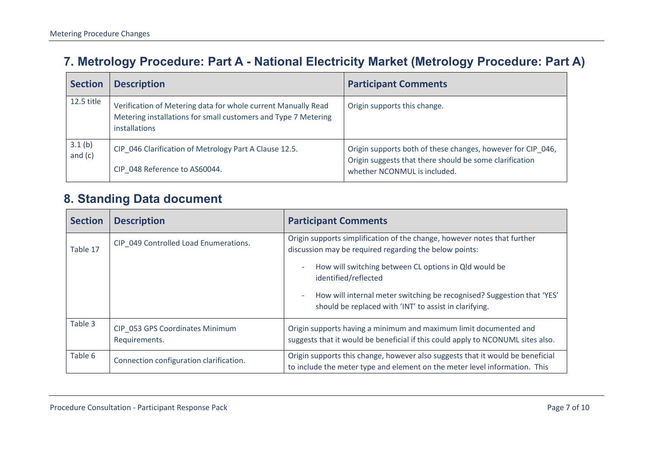## **7. Metrology Procedure: Part A - National Electricity Market (Metrology Procedure: Part A)**

| <b>Section</b>      | <b>Description</b>                                                                                                                               | <b>Participant Comments</b>                                                                                                                            |
|---------------------|--------------------------------------------------------------------------------------------------------------------------------------------------|--------------------------------------------------------------------------------------------------------------------------------------------------------|
| 12.5 title          | Verification of Metering data for whole current Manually Read<br>Metering installations for small customers and Type 7 Metering<br>installations | Origin supports this change.                                                                                                                           |
| 3.1(b)<br>and $(c)$ | CIP 046 Clarification of Metrology Part A Clause 12.5.<br>CIP 048 Reference to AS60044.                                                          | Origin supports both of these changes, however for CIP 046,<br>Origin suggests that there should be some clarification<br>whether NCONMUL is included. |

### **8. Standing Data document**

<span id="page-6-1"></span><span id="page-6-0"></span>

| <b>Section</b> | <b>Description</b>                               | <b>Participant Comments</b>                                                                                                                                      |
|----------------|--------------------------------------------------|------------------------------------------------------------------------------------------------------------------------------------------------------------------|
| Table 17       | CIP 049 Controlled Load Enumerations.            | Origin supports simplification of the change, however notes that further<br>discussion may be required regarding the below points:                               |
|                |                                                  | How will switching between CL options in Qld would be<br>$\overline{\phantom{a}}$<br>identified/reflected                                                        |
|                |                                                  | How will internal meter switching be recognised? Suggestion that 'YES'<br>$\qquad \qquad \blacksquare$<br>should be replaced with 'INT' to assist in clarifying. |
| Table 3        | CIP_053 GPS Coordinates Minimum<br>Requirements. | Origin supports having a minimum and maximum limit documented and<br>suggests that it would be beneficial if this could apply to NCONUML sites also.             |
| Table 6        | Connection configuration clarification.          | Origin supports this change, however also suggests that it would be beneficial<br>to include the meter type and element on the meter level information. This     |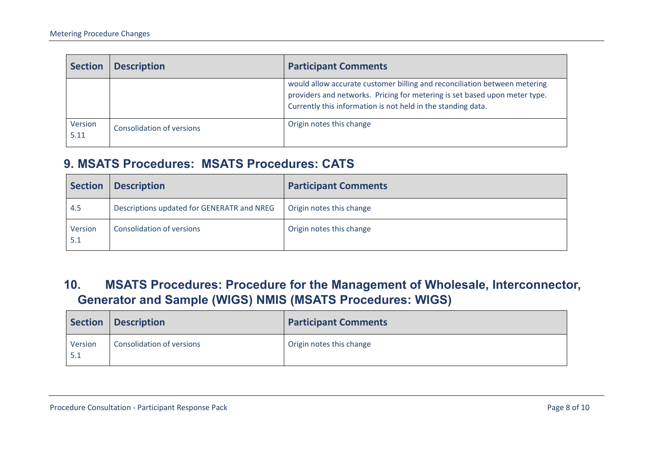| <b>Section</b>  | <b>Description</b>        | <b>Participant Comments</b>                                                                                                                                                                                             |
|-----------------|---------------------------|-------------------------------------------------------------------------------------------------------------------------------------------------------------------------------------------------------------------------|
|                 |                           | would allow accurate customer billing and reconciliation between metering<br>providers and networks. Pricing for metering is set based upon meter type.<br>Currently this information is not held in the standing data. |
| Version<br>5.11 | Consolidation of versions | Origin notes this change                                                                                                                                                                                                |

#### **9. MSATS Procedures: MSATS Procedures: CATS**

| Section        | <b>Description</b>                         | <b>Participant Comments</b> |
|----------------|--------------------------------------------|-----------------------------|
| 4.5            | Descriptions updated for GENERATR and NREG | Origin notes this change    |
| Version<br>5.1 | <b>Consolidation of versions</b>           | Origin notes this change    |

## **10. MSATS Procedures: Procedure for the Management of Wholesale, Interconnector, Generator and Sample (WIGS) NMIS (MSATS Procedures: WIGS)**

<span id="page-7-1"></span><span id="page-7-0"></span>

| <b>Section</b> | <b>Description</b>               | <b>Participant Comments</b> |
|----------------|----------------------------------|-----------------------------|
| Version<br>5.1 | <b>Consolidation of versions</b> | Origin notes this change    |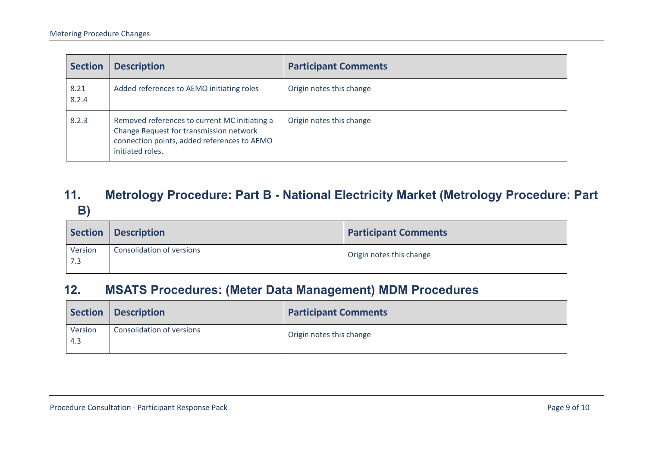| <b>Section</b> | <b>Description</b>                                                                                                                                          | <b>Participant Comments</b> |
|----------------|-------------------------------------------------------------------------------------------------------------------------------------------------------------|-----------------------------|
| 8.21<br>8.2.4  | Added references to AEMO initiating roles                                                                                                                   | Origin notes this change    |
| 8.2.3          | Removed references to current MC initiating a<br>Change Request for transmission network<br>connection points, added references to AEMO<br>initiated roles. | Origin notes this change    |

## **11. Metrology Procedure: Part B - National Electricity Market (Metrology Procedure: Part B)**

|                | Section   Description            | <b>Participant Comments</b> |
|----------------|----------------------------------|-----------------------------|
| Version<br>7.3 | <b>Consolidation of versions</b> | Origin notes this change    |

## **12. MSATS Procedures: (Meter Data Management) MDM Procedures**

<span id="page-8-1"></span><span id="page-8-0"></span>

|                   | Section   Description     | <b>Participant Comments</b> |
|-------------------|---------------------------|-----------------------------|
| Version<br>$-4.3$ | Consolidation of versions | Origin notes this change    |